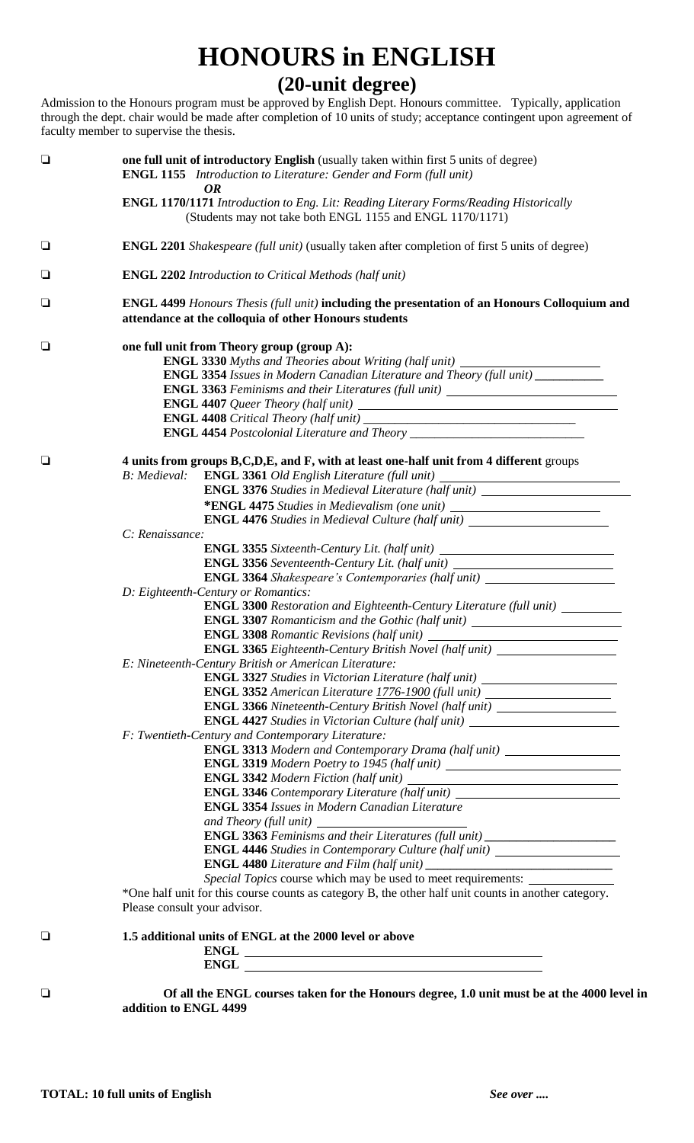## **HONOURS in ENGLISH**

**(20-unit degree)**

Admission to the Honours program must be approved by English Dept. Honours committee. Typically, application through the dept. chair would be made after completion of 10 units of study; acceptance contingent upon agreement of faculty member to supervise the thesis.

| $\Box$ | one full unit of introductory English (usually taken within first 5 units of degree)<br><b>ENGL 1155</b> Introduction to Literature: Gender and Form (full unit)<br><b>OR</b>                       |  |
|--------|-----------------------------------------------------------------------------------------------------------------------------------------------------------------------------------------------------|--|
|        | <b>ENGL 1170/1171</b> Introduction to Eng. Lit: Reading Literary Forms/Reading Historically<br>(Students may not take both ENGL 1155 and ENGL 1170/1171)                                            |  |
| $\Box$ | <b>ENGL 2201</b> Shakespeare (full unit) (usually taken after completion of first 5 units of degree)                                                                                                |  |
| $\Box$ | <b>ENGL 2202</b> Introduction to Critical Methods (half unit)                                                                                                                                       |  |
| $\Box$ | ENGL 4499 Honours Thesis (full unit) including the presentation of an Honours Colloquium and<br>attendance at the colloquia of other Honours students                                               |  |
| $\Box$ | one full unit from Theory group (group A):                                                                                                                                                          |  |
|        | ENGL 3330 Myths and Theories about Writing (half unit) _________________________                                                                                                                    |  |
|        | <b>ENGL 3354</b> Issues in Modern Canadian Literature and Theory (full unit)                                                                                                                        |  |
|        | ENGL 3363 Feminisms and their Literatures (full unit) __________________________                                                                                                                    |  |
|        |                                                                                                                                                                                                     |  |
|        | ENGL 4454 Postcolonial Literature and Theory ___________________________________                                                                                                                    |  |
|        |                                                                                                                                                                                                     |  |
| $\Box$ | 4 units from groups B,C,D,E, and F, with at least one-half unit from 4 different groups<br><b>B</b> : Medieval:<br>ENGL 3361 Old English Literature (full unit) ___________________________________ |  |
|        | <b>ENGL 3376</b> Studies in Medieval Literature (half unit) __________________________                                                                                                              |  |
|        | *ENGL 4475 Studies in Medievalism (one unit) ___________________________________                                                                                                                    |  |
|        | <b>ENGL 4476</b> Studies in Medieval Culture (half unit) _____________________________                                                                                                              |  |
|        | C: Renaissance:                                                                                                                                                                                     |  |
|        | ENGL 3355 Sixteenth-Century Lit. (half unit)                                                                                                                                                        |  |
|        | ENGL 3356 Seventeenth-Century Lit. (half unit) _________________________________                                                                                                                    |  |
|        | <b>ENGL 3364</b> Shakespeare's Contemporaries (half unit) ____________________________                                                                                                              |  |
|        | D: Eighteenth-Century or Romantics:                                                                                                                                                                 |  |
|        | <b>ENGL 3300</b> Restoration and Eighteenth-Century Literature (full unit) _________                                                                                                                |  |
|        | <b>ENGL 3307</b> Romanticism and the Gothic (half unit) ______________________________                                                                                                              |  |
|        |                                                                                                                                                                                                     |  |
|        | ENGL 3365 Eighteenth-Century British Novel (half unit) _________________________                                                                                                                    |  |
|        | E: Nineteenth-Century British or American Literature:                                                                                                                                               |  |
|        | <b>ENGL 3327</b> Studies in Victorian Literature (half unit) _________________________                                                                                                              |  |
|        | ENGL 3352 American Literature 1776-1900 (full unit)                                                                                                                                                 |  |
|        | ENGL 3366 Nineteenth-Century British Novel (half unit) _________________________                                                                                                                    |  |
|        | <b>ENGL 4427</b> Studies in Victorian Culture (half unit)                                                                                                                                           |  |
|        | F: Twentieth-Century and Contemporary Literature:<br>ENGL 3313 Modern and Contemporary Drama (half unit) ______________________                                                                     |  |
|        |                                                                                                                                                                                                     |  |
|        |                                                                                                                                                                                                     |  |
|        | ENGL 3346 Contemporary Literature (half unit) __________________________________                                                                                                                    |  |
|        | <b>ENGL 3354 Issues in Modern Canadian Literature</b>                                                                                                                                               |  |
|        | and Theory (full unit)<br><u> 1989 - Johann Barnett, fransk politiker (</u>                                                                                                                         |  |
|        | ENGL 3363 Feminisms and their Literatures (full unit) __________________________                                                                                                                    |  |
|        | <b>ENGL 4446</b> Studies in Contemporary Culture (half unit) _________________________                                                                                                              |  |
|        |                                                                                                                                                                                                     |  |
|        | Special Topics course which may be used to meet requirements:                                                                                                                                       |  |
|        | *One half unit for this course counts as category B, the other half unit counts in another category.<br>Please consult your advisor.                                                                |  |
| ❏      | 1.5 additional units of ENGL at the 2000 level or above                                                                                                                                             |  |
|        |                                                                                                                                                                                                     |  |
|        |                                                                                                                                                                                                     |  |
|        |                                                                                                                                                                                                     |  |
|        | $\mathbf{r}$ and $\mathbf{r}$ and $\mathbf{r}$ and $\mathbf{r}$ and $\mathbf{r}$ and $\mathbf{r}$ and $\mathbf{r}$ and $\mathbf{r}$                                                                 |  |

 **Of all the ENGL courses taken for the Honours degree, 1.0 unit must be at the 4000 level in addition to ENGL 4499**